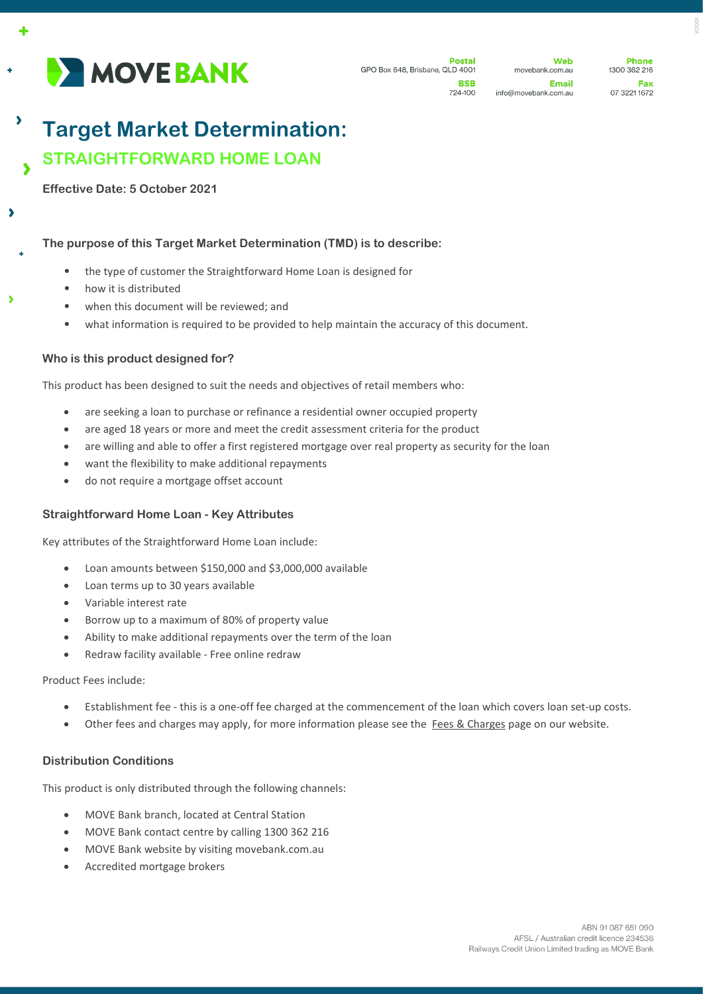

724-100

**Phone** 1300 362 216 Fax 07 3221 1672

# **Target Market Determination: STRAIGHTFORWARD HOME LOAN**

**Effective Date: 5 October 2021**

 $\lambda$ 

 $\overline{\phantom{a}}$ 

Ŋ

### **The purpose of this Target Market Determination (TMD) is to describe:**

- the type of customer the Straightforward Home Loan is designed for
- how it is distributed
- when this document will be reviewed; and
- what information is required to be provided to help maintain the accuracy of this document.

#### **Who is this product designed for?**

This product has been designed to suit the needs and objectives of retail members who:

- are seeking a loan to purchase or refinance a residential owner occupied property
- are aged 18 years or more and meet the credit assessment criteria for the product
- are willing and able to offer a first registered mortgage over real property as security for the loan
- want the flexibility to make additional repayments
- do not require a mortgage offset account

#### **Straightforward Home Loan - Key Attributes**

Key attributes of the Straightforward Home Loan include:

- Loan amounts between \$150,000 and \$3,000,000 available
- Loan terms up to 30 years available
- Variable interest rate
- Borrow up to a maximum of 80% of property value
- Ability to make additional repayments over the term of the loan
- Redraw facility available Free online redraw

#### Product Fees include:

- Establishment fee this is a one-off fee charged at the commencement of the loan which covers loan set-up costs.
- Other fees and charges may apply, for more information please see the [Fees & Charges](https://movebank.com.au/quick-links/fees-charges/) page on our website.

#### **Distribution Conditions**

This product is only distributed through the following channels:

- MOVE Bank branch, located at Central Station
- MOVE Bank contact centre by calling 1300 362 216
- MOVE Bank website by visiting movebank.com.au
- Accredited mortgage brokers